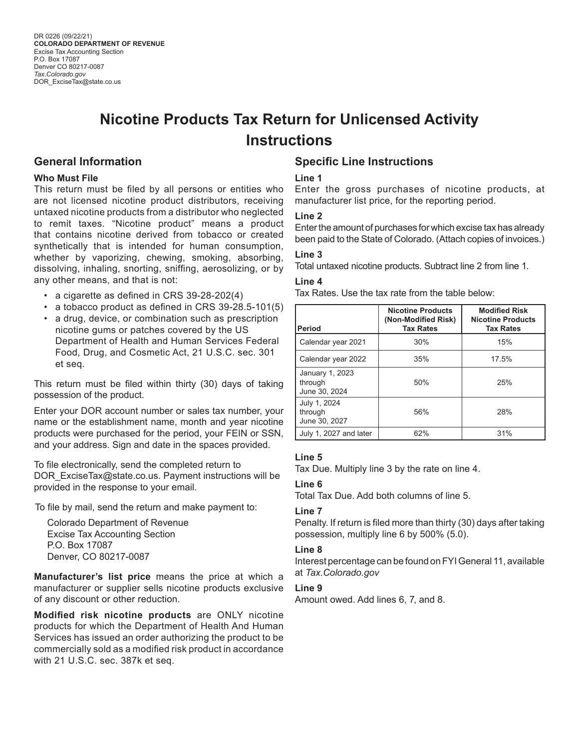# **Nicotine Products Tax Return for Unlicensed Activity Instructions**

# **General Information**

#### **Who Must File**

This return must be filed by all persons or entities who are not licensed nicotine product distributors, receiving untaxed nicotine products from a distributor who neglected to remit taxes. "Nicotine product" means a product that contains nicotine derived from tobacco or created synthetically that is intended for human consumption, whether by vaporizing, chewing, smoking, absorbing, dissolving, inhaling, snorting, sniffing, aerosolizing, or by any other means, and that is not:

- a cigarette as defined in CRS 39-28-202(4)
- a tobacco product as defined in CRS 39-28.5-101(5)
- a drug, device, or combination such as prescription nicotine gums or patches covered by the US Department of Health and Human Services Federal Food, Drug, and Cosmetic Act, 21 U.S.C. sec. 301 et seq.

This return must be filed within thirty (30) days of taking possession of the product.

Enter your DOR account number or sales tax number, your name or the establishment name, month and year nicotine products were purchased for the period, your FEIN or SSN, and your address. Sign and date in the spaces provided.

To file electronically, send the completed return to DOR ExciseTax@state.co.us. Payment instructions will be provided in the response to your email.

To file by mail, send the return and make payment to:

Colorado Department of Revenue Excise Tax Accounting Section P.O. Box 17087 Denver, CO 80217-0087

**Manufacturer's list price** means the price at which a manufacturer or supplier sells nicotine products exclusive of any discount or other reduction.

**Modified risk nicotine products** are ONLY nicotine products for which the Department of Health And Human Services has issued an order authorizing the product to be commercially sold as a modified risk product in accordance with 21 U.S.C. sec. 387k et seq.

# **Specific Line Instructions**

### **Line [1](#page-1-0)**

Enter the gross purchases of nicotine products, at manufacturer list price, for the reporting period.

#### **Line [2](#page-1-1)**

Enter the amount of purchases for which excise tax has already been paid to the State of Colorado. (Attach copies of invoices.)

#### **Line [3](#page-1-2)**

Total untaxed nicotine products. Subtract line [2](#page-1-1) from line [1.](#page-1-0)

#### **Line 4**

Tax Rates. Use the tax rate from the table below:

| Period                                      | <b>Nicotine Products</b><br>(Non-Modified Risk)<br><b>Tax Rates</b> | <b>Modified Risk</b><br><b>Nicotine Products</b><br><b>Tax Rates</b> |
|---------------------------------------------|---------------------------------------------------------------------|----------------------------------------------------------------------|
| Calendar year 2021                          | 30%                                                                 | 15%                                                                  |
| Calendar year 2022                          | 35%                                                                 | 17.5%                                                                |
| January 1, 2023<br>through<br>June 30, 2024 | 50%                                                                 | 25%                                                                  |
| July 1, 2024<br>through<br>June 30, 2027    | 56%                                                                 | 28%                                                                  |
| July 1, 2027 and later                      | 62%                                                                 | 31%                                                                  |

# **Line [5](#page-1-3)**

Tax Due. Multiply line [3](#page-1-2) by the rate on line 4.

# **Line [6](#page-1-4)**

Total Tax Due. Add both columns of line [5](#page-1-3).

# **Line [7](#page-1-5)**

Penalty. If return is filed more than thirty (30) days after taking possession, multiply line 6 by 500% (5.0).

# **Line [8](#page-1-6)**

Interest percentage can be found on FYI General 11, available at *Tax.Colorado.gov*

# **Line [9](#page-1-7)**

Amount owed. Add lines [6,](#page-1-4) [7,](#page-1-5) and [8](#page-1-6).